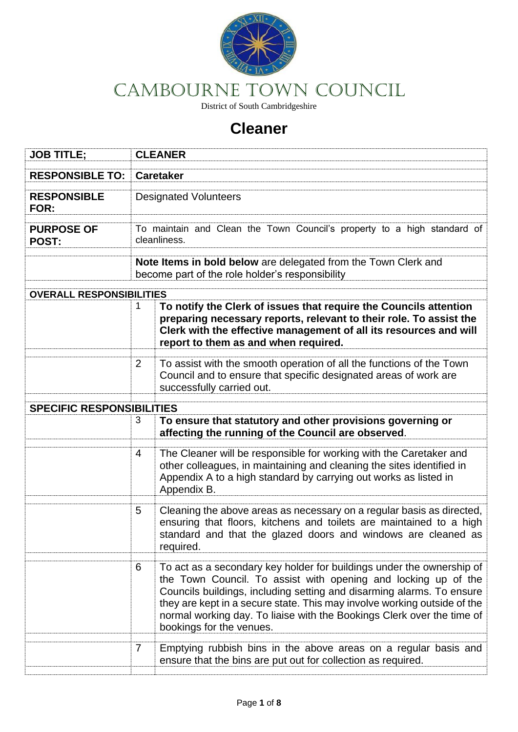

# CAMBOURNE Town COUNCIL

District of South Cambridgeshire

# **Cleaner**

| <b>JOB TITLE;</b>                | <b>CLEANER</b>                                                                                                    |                                                                                                                                                                                                                                                                                                                                                                                                    |  |  |
|----------------------------------|-------------------------------------------------------------------------------------------------------------------|----------------------------------------------------------------------------------------------------------------------------------------------------------------------------------------------------------------------------------------------------------------------------------------------------------------------------------------------------------------------------------------------------|--|--|
| <b>RESPONSIBLE TO:</b>           | <b>Caretaker</b>                                                                                                  |                                                                                                                                                                                                                                                                                                                                                                                                    |  |  |
| <b>RESPONSIBLE</b><br>FOR:       | <b>Designated Volunteers</b>                                                                                      |                                                                                                                                                                                                                                                                                                                                                                                                    |  |  |
| <b>PURPOSE OF</b><br>POST:       | To maintain and Clean the Town Council's property to a high standard of<br>cleanliness.                           |                                                                                                                                                                                                                                                                                                                                                                                                    |  |  |
|                                  | Note Items in bold below are delegated from the Town Clerk and<br>become part of the role holder's responsibility |                                                                                                                                                                                                                                                                                                                                                                                                    |  |  |
| <b>OVERALL RESPONSIBILITIES</b>  |                                                                                                                   |                                                                                                                                                                                                                                                                                                                                                                                                    |  |  |
|                                  | 1                                                                                                                 | To notify the Clerk of issues that require the Councils attention<br>preparing necessary reports, relevant to their role. To assist the<br>Clerk with the effective management of all its resources and will<br>report to them as and when required.                                                                                                                                               |  |  |
|                                  | $\overline{2}$                                                                                                    | To assist with the smooth operation of all the functions of the Town<br>Council and to ensure that specific designated areas of work are<br>successfully carried out.                                                                                                                                                                                                                              |  |  |
| <b>SPECIFIC RESPONSIBILITIES</b> |                                                                                                                   |                                                                                                                                                                                                                                                                                                                                                                                                    |  |  |
|                                  | 3                                                                                                                 | To ensure that statutory and other provisions governing or<br>affecting the running of the Council are observed.                                                                                                                                                                                                                                                                                   |  |  |
|                                  | 4                                                                                                                 | The Cleaner will be responsible for working with the Caretaker and<br>other colleagues, in maintaining and cleaning the sites identified in<br>Appendix A to a high standard by carrying out works as listed in<br>Appendix B.                                                                                                                                                                     |  |  |
|                                  | 5                                                                                                                 | Cleaning the above areas as necessary on a regular basis as directed,<br>ensuring that floors, kitchens and toilets are maintained to a high<br>standard and that the glazed doors and windows are cleaned as<br>required.                                                                                                                                                                         |  |  |
|                                  | 6                                                                                                                 | To act as a secondary key holder for buildings under the ownership of<br>the Town Council. To assist with opening and locking up of the<br>Councils buildings, including setting and disarming alarms. To ensure<br>they are kept in a secure state. This may involve working outside of the<br>normal working day. To liaise with the Bookings Clerk over the time of<br>bookings for the venues. |  |  |
|                                  | $\overline{7}$                                                                                                    | Emptying rubbish bins in the above areas on a regular basis and<br>ensure that the bins are put out for collection as required.                                                                                                                                                                                                                                                                    |  |  |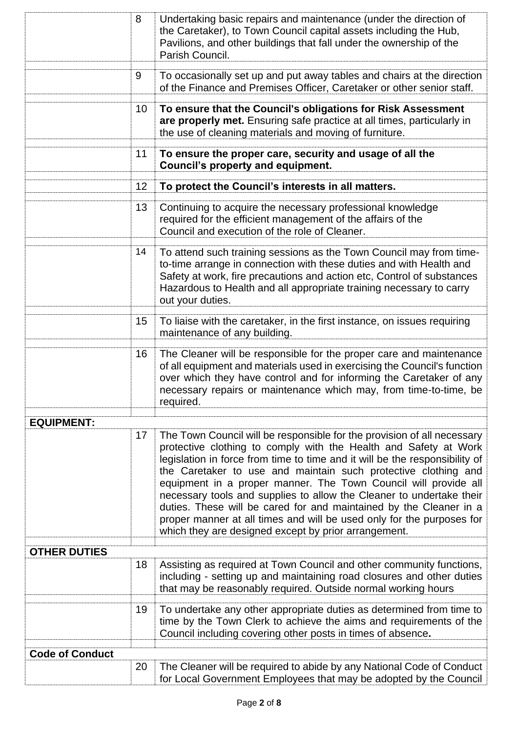| 8                      |           | Undertaking basic repairs and maintenance (under the direction of<br>the Caretaker), to Town Council capital assets including the Hub,<br>Pavilions, and other buildings that fall under the ownership of the<br>Parish Council.                                                                                                                                                                                                                                                                                                                                                                                                               |  |  |
|------------------------|-----------|------------------------------------------------------------------------------------------------------------------------------------------------------------------------------------------------------------------------------------------------------------------------------------------------------------------------------------------------------------------------------------------------------------------------------------------------------------------------------------------------------------------------------------------------------------------------------------------------------------------------------------------------|--|--|
| 9                      |           | To occasionally set up and put away tables and chairs at the direction<br>of the Finance and Premises Officer, Caretaker or other senior staff.                                                                                                                                                                                                                                                                                                                                                                                                                                                                                                |  |  |
| 10                     |           | To ensure that the Council's obligations for Risk Assessment<br>are properly met. Ensuring safe practice at all times, particularly in<br>the use of cleaning materials and moving of furniture.                                                                                                                                                                                                                                                                                                                                                                                                                                               |  |  |
| 11                     |           | To ensure the proper care, security and usage of all the<br><b>Council's property and equipment.</b>                                                                                                                                                                                                                                                                                                                                                                                                                                                                                                                                           |  |  |
| 12                     |           | To protect the Council's interests in all matters.                                                                                                                                                                                                                                                                                                                                                                                                                                                                                                                                                                                             |  |  |
| 13                     |           | Continuing to acquire the necessary professional knowledge<br>required for the efficient management of the affairs of the<br>Council and execution of the role of Cleaner.                                                                                                                                                                                                                                                                                                                                                                                                                                                                     |  |  |
| 14                     |           | To attend such training sessions as the Town Council may from time-<br>to-time arrange in connection with these duties and with Health and<br>Safety at work, fire precautions and action etc, Control of substances<br>Hazardous to Health and all appropriate training necessary to carry<br>out your duties.                                                                                                                                                                                                                                                                                                                                |  |  |
| 15                     |           | To liaise with the caretaker, in the first instance, on issues requiring<br>maintenance of any building.                                                                                                                                                                                                                                                                                                                                                                                                                                                                                                                                       |  |  |
| 16                     | required. | The Cleaner will be responsible for the proper care and maintenance<br>of all equipment and materials used in exercising the Council's function<br>over which they have control and for informing the Caretaker of any<br>necessary repairs or maintenance which may, from time-to-time, be                                                                                                                                                                                                                                                                                                                                                    |  |  |
| <b>EQUIPMENT:</b>      |           |                                                                                                                                                                                                                                                                                                                                                                                                                                                                                                                                                                                                                                                |  |  |
| 17                     |           | The Town Council will be responsible for the provision of all necessary<br>protective clothing to comply with the Health and Safety at Work<br>legislation in force from time to time and it will be the responsibility of<br>the Caretaker to use and maintain such protective clothing and<br>equipment in a proper manner. The Town Council will provide all<br>necessary tools and supplies to allow the Cleaner to undertake their<br>duties. These will be cared for and maintained by the Cleaner in a<br>proper manner at all times and will be used only for the purposes for<br>which they are designed except by prior arrangement. |  |  |
| <b>OTHER DUTIES</b>    |           |                                                                                                                                                                                                                                                                                                                                                                                                                                                                                                                                                                                                                                                |  |  |
| 18                     |           | Assisting as required at Town Council and other community functions,<br>including - setting up and maintaining road closures and other duties<br>that may be reasonably required. Outside normal working hours                                                                                                                                                                                                                                                                                                                                                                                                                                 |  |  |
| 19                     |           | To undertake any other appropriate duties as determined from time to<br>time by the Town Clerk to achieve the aims and requirements of the<br>Council including covering other posts in times of absence.                                                                                                                                                                                                                                                                                                                                                                                                                                      |  |  |
| <b>Code of Conduct</b> |           |                                                                                                                                                                                                                                                                                                                                                                                                                                                                                                                                                                                                                                                |  |  |
| 20                     |           | The Cleaner will be required to abide by any National Code of Conduct<br>for Local Government Employees that may be adopted by the Council                                                                                                                                                                                                                                                                                                                                                                                                                                                                                                     |  |  |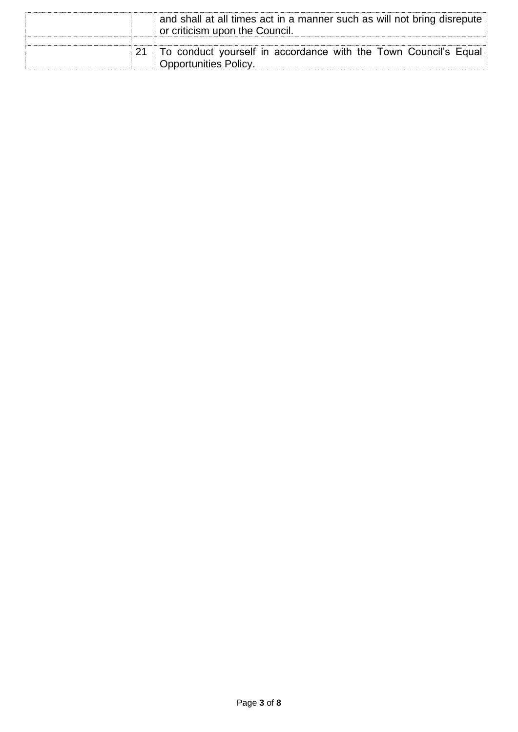|  | and shall at all times act in a manner such as will not bring disrepute<br>or criticism upon the Council. |
|--|-----------------------------------------------------------------------------------------------------------|
|  | To conduct yourself in accordance with the Town Council's Equal<br><b>Opportunities Policy.</b>           |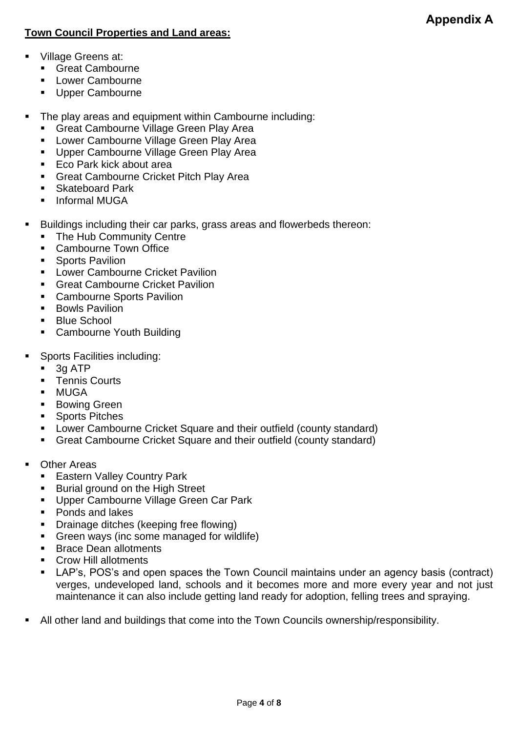#### **Town Council Properties and Land areas:**

- Village Greens at:
	- Great Cambourne
	- Lower Cambourne
	- Upper Cambourne
- The play areas and equipment within Cambourne including:
	- **Example 2** Great Cambourne Village Green Play Area
	- **E.** Lower Cambourne Village Green Play Area
	- Upper Cambourne Village Green Play Area
	- Eco Park kick about area
	- Great Cambourne Cricket Pitch Play Area
	- Skateboard Park
	- Informal MUGA
- Buildings including their car parks, grass areas and flowerbeds thereon:
	- The Hub Community Centre
	- Cambourne Town Office
	- Sports Pavilion
	- **E** Lower Cambourne Cricket Pavilion
	- Great Cambourne Cricket Pavilion
	- Cambourne Sports Pavilion
	- Bowls Pavilion
	- Blue School
	- Cambourne Youth Building
- Sports Facilities including:
	- $\blacksquare$  3g ATP
	- Tennis Courts
	- MUGA
	- **Bowing Green**
	- Sports Pitches
	- Lower Cambourne Cricket Square and their outfield (county standard)
	- Great Cambourne Cricket Square and their outfield (county standard)
- Other Areas
	- Eastern Valley Country Park
	- Burial ground on the High Street
	- Upper Cambourne Village Green Car Park
	- Ponds and lakes
	- Drainage ditches (keeping free flowing)
	- Green ways (inc some managed for wildlife)
	- Brace Dean allotments
	- Crow Hill allotments
	- LAP's, POS's and open spaces the Town Council maintains under an agency basis (contract) verges, undeveloped land, schools and it becomes more and more every year and not just maintenance it can also include getting land ready for adoption, felling trees and spraying.
- All other land and buildings that come into the Town Councils ownership/responsibility.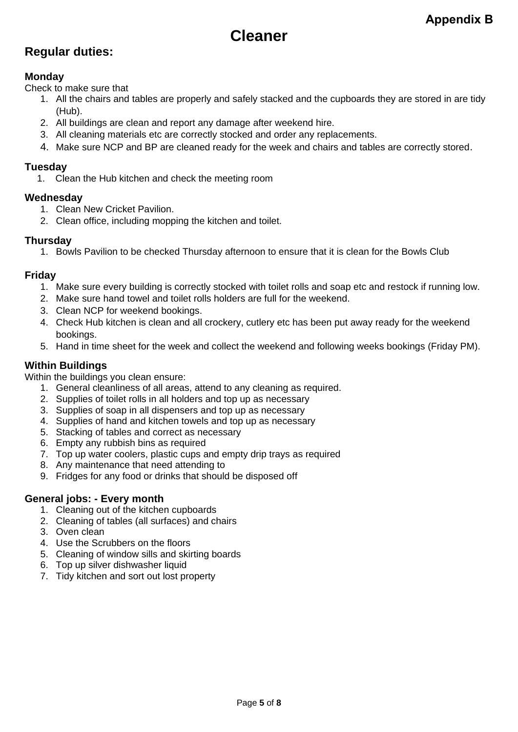# **Cleaner**

### **Regular duties:**

#### **Monday**

Check to make sure that

- 1. All the chairs and tables are properly and safely stacked and the cupboards they are stored in are tidy (Hub).
- 2. All buildings are clean and report any damage after weekend hire.
- 3. All cleaning materials etc are correctly stocked and order any replacements.
- 4. Make sure NCP and BP are cleaned ready for the week and chairs and tables are correctly stored.

#### **Tuesday**

1. Clean the Hub kitchen and check the meeting room

#### **Wednesday**

- 1. Clean New Cricket Pavilion.
- 2. Clean office, including mopping the kitchen and toilet.

#### **Thursday**

1. Bowls Pavilion to be checked Thursday afternoon to ensure that it is clean for the Bowls Club

#### **Friday**

- 1. Make sure every building is correctly stocked with toilet rolls and soap etc and restock if running low.
- 2. Make sure hand towel and toilet rolls holders are full for the weekend.
- 3. Clean NCP for weekend bookings.
- 4. Check Hub kitchen is clean and all crockery, cutlery etc has been put away ready for the weekend bookings.
- 5. Hand in time sheet for the week and collect the weekend and following weeks bookings (Friday PM).

#### **Within Buildings**

Within the buildings you clean ensure:

- 1. General cleanliness of all areas, attend to any cleaning as required.
- 2. Supplies of toilet rolls in all holders and top up as necessary
- 3. Supplies of soap in all dispensers and top up as necessary
- 4. Supplies of hand and kitchen towels and top up as necessary
- 5. Stacking of tables and correct as necessary
- 6. Empty any rubbish bins as required
- 7. Top up water coolers, plastic cups and empty drip trays as required
- 8. Any maintenance that need attending to
- 9. Fridges for any food or drinks that should be disposed off

#### **General jobs: - Every month**

- 1. Cleaning out of the kitchen cupboards
- 2. Cleaning of tables (all surfaces) and chairs
- 3. Oven clean
- 4. Use the Scrubbers on the floors
- 5. Cleaning of window sills and skirting boards
- 6. Top up silver dishwasher liquid
- 7. Tidy kitchen and sort out lost property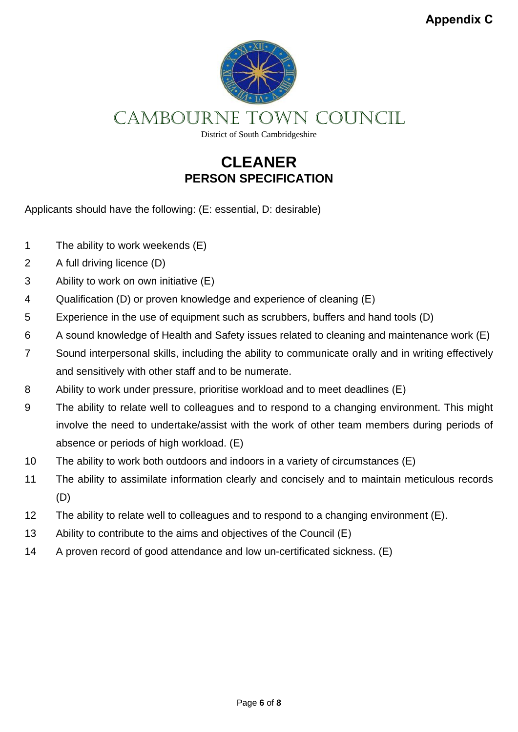

CAMBOURNE Town COUNCIL

District of South Cambridgeshire

## **CLEANER PERSON SPECIFICATION**

Applicants should have the following: (E: essential, D: desirable)

- 1 The ability to work weekends (E)
- 2 A full driving licence (D)
- 3 Ability to work on own initiative (E)
- 4 Qualification (D) or proven knowledge and experience of cleaning (E)
- 5 Experience in the use of equipment such as scrubbers, buffers and hand tools (D)
- 6 A sound knowledge of Health and Safety issues related to cleaning and maintenance work (E)
- 7 Sound interpersonal skills, including the ability to communicate orally and in writing effectively and sensitively with other staff and to be numerate.
- 8 Ability to work under pressure, prioritise workload and to meet deadlines (E)
- 9 The ability to relate well to colleagues and to respond to a changing environment. This might involve the need to undertake/assist with the work of other team members during periods of absence or periods of high workload. (E)
- 10 The ability to work both outdoors and indoors in a variety of circumstances (E)
- 11 The ability to assimilate information clearly and concisely and to maintain meticulous records (D)
- 12 The ability to relate well to colleagues and to respond to a changing environment (E).
- 13 Ability to contribute to the aims and objectives of the Council (E)
- 14 A proven record of good attendance and low un-certificated sickness. (E)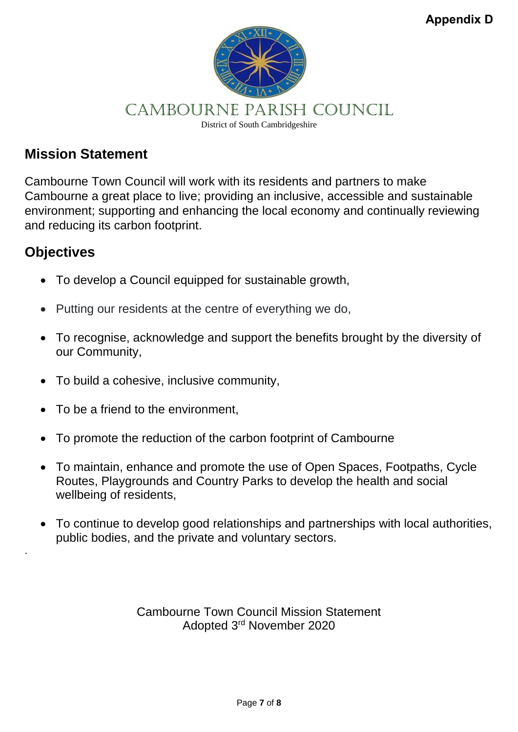

### **Mission Statement**

Cambourne Town Council will work with its residents and partners to make Cambourne a great place to live; providing an inclusive, accessible and sustainable environment; supporting and enhancing the local economy and continually reviewing and reducing its carbon footprint.

## **Objectives**

.

- To develop a Council equipped for sustainable growth,
- Putting our residents at the centre of everything we do,
- To recognise, acknowledge and support the benefits brought by the diversity of our Community,
- To build a cohesive, inclusive community,
- To be a friend to the environment.
- To promote the reduction of the carbon footprint of Cambourne
- To maintain, enhance and promote the use of Open Spaces, Footpaths, Cycle Routes, Playgrounds and Country Parks to develop the health and social wellbeing of residents,
- To continue to develop good relationships and partnerships with local authorities, public bodies, and the private and voluntary sectors.

Cambourne Town Council Mission Statement Adopted 3rd November 2020